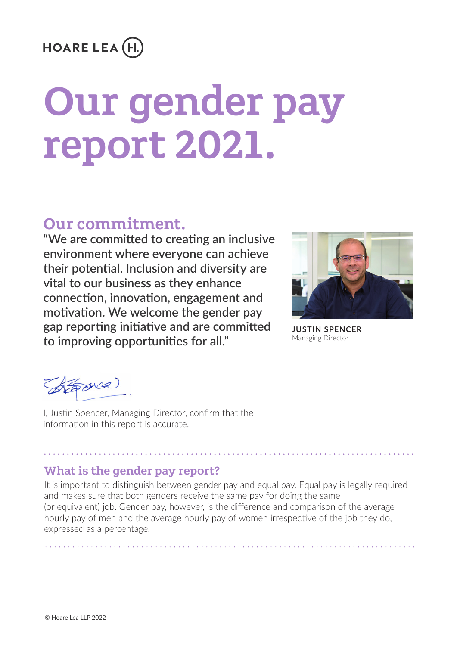## **HOARE LEA (H.**

#### Our gender pay report 2021. 3. Our gender split, by pay quartile. The biggest proportion of females has been increase of females has been in our upper pay  $\alpha$ impacted the eligibility data for this year. The bonus awarded diff ered depending on level. We have more female representati on in our lower levels which has caused the median and mean bonus pay gaps to vary more this year. report 2021. report 2021.

# Our commitment.

"We are committed to creating an inclusive environment where everyone can achieve their potential. Inclusion and diversity are **wital to our business as they enhance wital to our business as they enhance** connection, innovation, engagement and motivation. We welcome the gender pay to improving opportunities for all." Mana gap reporting initiative and are committed



**ERICA COOMBS-PROLE**

 $\frac{1}{2}$ . **JUSTIN SPENCER** Managing Director

 $x$  $i$ **KEY** This looks at the ratio of men (grey) and women (purple) in each  $\alpha$ 

I, Justin Spencer, Managing Director, confirm that the information in this report is accurate.

#### $U<sub>0</sub>$  is the gender pay repay of  $\frac{1}{2}$ What is the gender pay report?

We're proud to off er benefi ts that help our people,

Our industry at a glance.

With us, it's personal.

 $\mathbf{v}$  and the different pay, however, is the difference and comparison of the average  $\mathbf{v}$ It is important to distinguish between gender pay and equal pay. Equal pay is legally required and makes sure that both genders receive the same pay for doing the same (or equivalent) job. Gender pay, however, is the difference and comparison of the average hourly pay of men and the average hourly pay of women irrespective of the job they do, expressed as a percentage.

It is important to disti nguish between gender pay and equal pay. Equal pay is legally required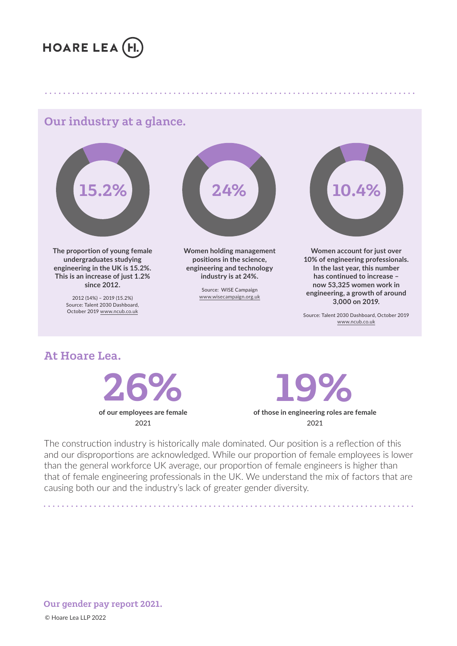

# with an industry at a glance.<br>
Sur industry at a glance.



The proportion of young female **Women holding manufacturity Women holding** manufacturity **CO undergraduates studying**  engineering in the UK is 15.2%. <sup>Promoted</sup> engineering and technology This is an increase of just 1.2% **industry is at 24%.**<br>
since 2012. **since 2012.**

2012 (14%) – 2019 (15.2%) Source: WISE Campagn<br>
2012 (14%) – 2019 (15.2%)<br>
Source: Talent 2030 Dashboard,<br> **gap reporting the area of are committed are committed are committed are committed are committed are committed are committed and are committe** October 2019 www.ncub.co.uk **to improving opportuniti es for all."**



In recogniti on of the challenges faced during the pandemic, we awarded all employees a one off bonus which has

**Women holding management positions in the science, engineering and technology industry is at 24%.**

> Source: WISE Campaign www.wisecampaign.org.uk



**Women account for just over 10% of engineering professionals. In the last year, this number has continued to increase – now 53,325 women work in**  $\frac{1}{2}$  where 2012. **engineering, a growth of around 3,000 on 2019. JUSTIN SPENCER** Managing Director

Source: Talent 2030 Dashboard, October 2019 www.ncub.co.uk

At Hoare Lea. e<br>1 Hoare Lea



hybrid working policy gives our people a choice of where

**of those in engineering roles are female**  2021 19%  $T = \frac{1}{2}$  and  $\frac{1}{2}$  ordered in each  $\frac{1}{2}$  and we reach  $\frac{1}{2}$  and  $\frac{1}{2}$  and  $\frac{1}{2}$  and  $\frac{1}{2}$  and  $\frac{1}{2}$  and  $\frac{1}{2}$  and  $\frac{1}{2}$  and  $\frac{1}{2}$  and  $\frac{1}{2}$  and  $\frac{1}{2}$  and  $\frac{1}{2}$  and  $\$ 

The construction industry is historically male dominated. Our position is a reflection of this The construction industry is historically male dominated. Our position is a reflection of this<br>and our disproportions are acknowledged. While our proportion of female employees is lower and our disproportions are demistingly<br>than the general workforce UK average, our proportion of female engineers is higher than that of female engineering professionals in the UK. We understand the mix of factors that are ende of remale engineering processionals in the one was anderstand the link of ractors that causing both our and the industry's lack of greater gender diversity.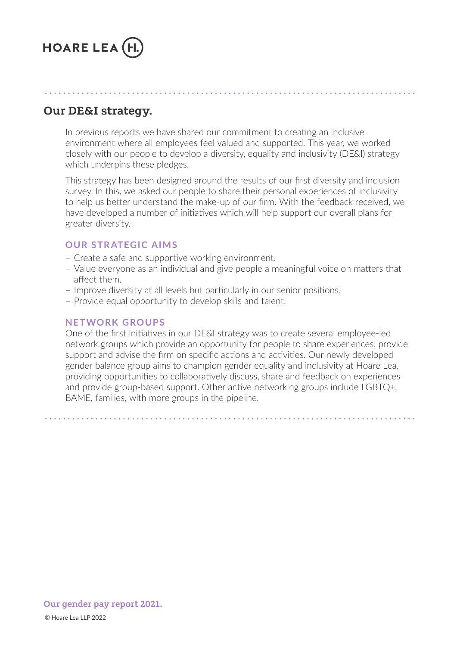

#### Our DE&I strategy. Our DE&I strategy. We have more female representation on level. We have the contract on in our lower levels which has been dependent on in our lower level. We have the contract on in our lower levels which has been defined Our industry at a glance. caused the median and mean bonus pay gaps to vary more this year.

In previous reports we have shared our commitment t<br>environment where all employees feel valued and sup<br>closely with our people to develop a diversity, equalit<br>which underpins these pledges. In previous reports we have shared our commitment to creating an inclusive environment where all employees feel valued and supported. This year, we worked closely with our people to develop a diversity, equality and inclusivity (DE&I) strategy which underpins these pledges. The biggest proportion of the beam in our upper pay  $\alpha$ 

In recogniti on of the challenges faced during the pandemic, we awarded all employees a one off bonus which has

survey. In this, we asked our people to share their personal experiences of inclusivity<br>to belp us better understand the make-up of our firm. With the feedback received w to help as better understand the make up or our min. With the recuback received, greater diversity. This strategy has been designed around the results of our first diversity and inclusion to help us better understand the make-up of our firm. With the feedback received, we to help us better understand the make-up of our firm. With the feedback received, we<br>have developed a number of initiatives which will help support our overall plans for<br>greater diversity.

### **OUR STRATEGIC AIMS**

- **John Shance State State**<br>
 Create a safe and supportive working environment. – Create a safe and **Women holding management**  working environmer
- Value everyone as an individual and give people a meaningful voice on matters that affect them.<br>We were the general pay a welcome the general pay a welcome the general pay a welcome the general pay of the g affect them. **industry is at 24%.**
	- an sect chem.<br>- Improve diversity at all levels but particularly in our senior positions. affect them.<br>Improve diversity at all levels but particularly in our senior positions.
- improve diversity at air levels but particularly in our se<br>– Provide equal opportunity to develop skills and talent. Source: Talent 2030 Dashboard, www.wisecampaign.org.uk

#### **to improving opportuniti es for all." NETWORK GROUPS**

providing upportunities to conditionly disease, share and receipedition experiences<br>and provide group-based support. Other active networking groups include LGBTQ+, and provide greap based support. Strict detrometrioning greups include 2007. One of the first initiatives in our DE&I strategy was to create several employee-led network groups which provide an opportunity for people to share experiences, provide support and advise the firm on specific actions and activities. Our newly developed gender balance group aims to champion gender equality and inclusivity at Hoare Lea, providing opportunities to collaboratively discuss, share and feedback on experiences<br>and provide group-based support. Other active networking groups include LGBTQ+,<br>BAME, families, with more groups in the pipeline. highest to lowest paid and then split into four groups. Then split into four groups. Then split into four groups. One or the first initiatives in our DE&I strategy was to create several employee-led<br>hetwork groups which provide an opportunity for people to share experiences, provid<br>support and advise the firm on specific actions and a

 $1.28 \text{ kg}$  10.4% 10.4%  $1.22 \text{ m}$ our gender pay report 2021. 24.8 km<br>2022<br>2022 - 2022 - 2022 - 2022 - 2022 - 2022 - 2022 - 2022 - 2022 - 2022 - 2022 - 2022 - 2022 - 2022 - 2022 - 2022  $\epsilon$  Lea LLP 2022  $\epsilon$  $\odot$  Hoare Lea LLP 2022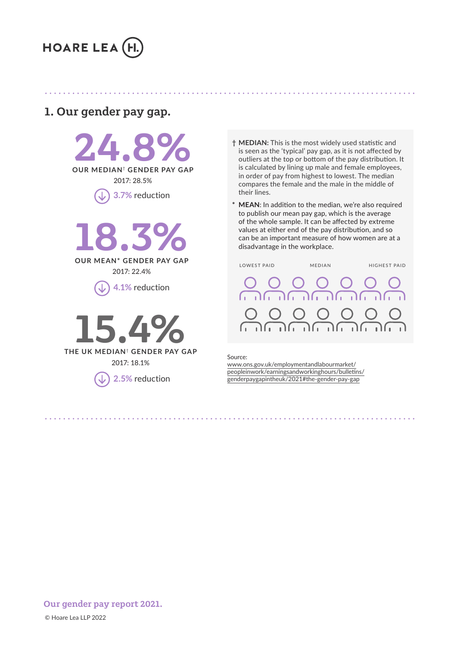

#### our gender pay gap.<br>1. Our gender pay gap. **1. Our gender pay gap.** We have more female representation on level such a seventation on in our lower levels wh Our industry at a glance. 1. Our gender pay gap.

THEDIAN: T **1** 3.7% reduction mean in add to committee **"WEAN:** In add "<br>The committee of the committee of the committee of the committee of the committee of the committee of the commi<br>The committee of the committee of the committee of the committee o **environment where the whole can achieve the whole can achieve the whole can achieve the whole can achieve the whole can achieve the whole can achieve the whole can achieve the whole can achieve the whole can achieve the w 24.8%** 2017: 28.5% 3. Our general split split is a specific to the split of the split of the split of the spine spanned of the sp 37.1% 34.1% 2017: 33.5% In previous reports we have shared our commitment to creati ng an inclusive greater diversity.



**connective only in the connection**  $2017: 22.4\%$ 2017: 22.4% **engineering in the UK is 15.2%. This is an increase of just 1.2%** 





2. Our gender bonus gap.

**environment where all environment where all employees feel values feel values feel values feel values feel values feel values feel values feel values feel values feel values feel values feel values feel values feel values**  $\begin{array}{c} \hline \text{is seen as the 'typical' pay gap, as it is not affected by} \end{array}$ outliers at the top or bottom of the pay distribution. It OUR MEDIAN<sup>†</sup> GENDER PAY GAP is calculated by lining up male and female employees, in order of pay from highest to lowest. The median  $\overline{\text{op}}$  3.7% reduction<br>  $\overline{\text{op}}$  3.7% reduction their lines.  $2017: 28.5\%$  and the results of pay from ingliest to lowest. The filedial results of our final inclusion compares the female and the male in the middle of  $\bigcap_{n=1}$  3.7% reduction their lines.

In recogniti on of the challenges faced during the pandemic, we awarded all employees a one off bonus which has

**\* MEAN:** In addition to the median, we're also required<br>to publish our mean pay gap, which is the average<br>of the whole sample. It can be affected by extreme to publish our mean pay gap, which is the average of the whole sample. It can be affected by extreme values at either end of the pay distribution, and so can be an important measure of how women are at a **Molding Management is advantage in the workplace. Women and for**  $\alpha$ **IEAN**: In addition to t<br>publish our mean pa<br>f the whole sample. I<mark>t</mark> to publish our mean pay gap, which is the average



Source: peopleinwork/earningsandworkinghours/bulletins/ genderpaygapintheuk/2021#the-gender-pay-gap 2017: 91.1%

 $\odot$  Hoare Lea LLP 2022  $\epsilon$  Lea LLP 2022  $\epsilon$ 24.8 km<br>2022<br>2022 - 2022 - 2022 - 2022 - 2022 - 2022 - 2022 - 2022 - 2022 - 2022 - 2022 - 2022 - 2022 - 2022 - 2022 - 2022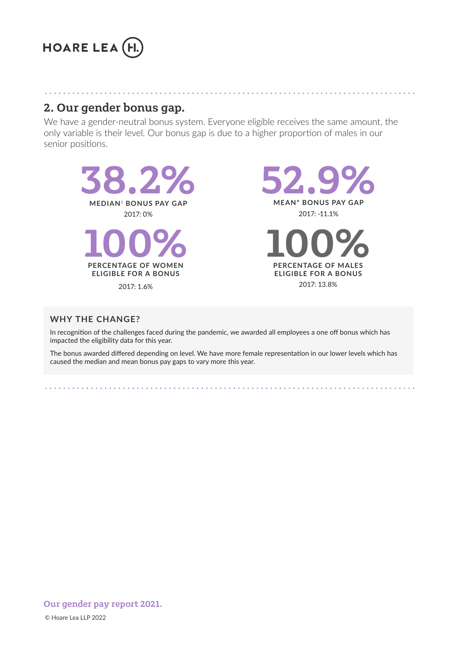

#### 2. Our gender bonus gap. We have more female representative more female representative more female representativ In previous reports we have shared our commitment to creati ng an inclusive environment where all employees feel valued and supported. The support of  $\mathcal{L}$

**2. Our gender bonus gap.**<br>We have a gender-neutral bonus system. Everyone eligible receives the same amount, the only variable is their level. Our bonus gap is due to a higher proportion of males in our senior positions. senior positions. The strategy has been designed around the results of our fit results of our fit results of our fit results of our fit results of our fit results of our fit results of our fit results of our fit results of our fit results o

In recogniti on of the challenges faced during the pandemic, we awarded all employees a one off bonus which has



2017: 8.9%

19%

#### $t \sim \frac{1}{2}$ **THE CHANGE? Network groups which provide an opportunity for people to share experiences, provide to share experiences, provide an opportunity for people to share experiences, provide an opportunity for people to share e**

. . . . . . . . . . . . . . . . . . .

**KEY**

In recognition of the challenges faced during the pandemic, we awarded all employees a one off bonus which has impacted the eligibility data for this year. support and advise the final construction on specific c activities that activities on specific construction on gender balance group aims to champion gender equality and inclusivity at Hoare Lea, providing opportunities to collaborati vely discuss, share and feedback on experiences on experiences on experiences

In recognition of the chanenges raced during the pandemic, we awarded an employees a one on bonus which has<br>
impacted the eligibility data for this year.<br>
The bonus awarded differed depending on level. We have more female caused the median and mean bonus pay gaps to vary more this year. bonus awarded differed depending on level. We have more female representation in our lower levels which has le<br>ad the modian and mean bonus nay gans to vany more this year. Barthorn modificial more worked pay gapo to reary more and your.

 $1.28 \text{ kg}$  10.4% 10.4%  $1.22 \text{ m}$ Our gender pay report 2021. In this share their people to share their personal experiences of inclusivity of inclusivity of inclusivity of inclusivity of inclusivity of inclusivity of inclusivity of inclusivity of inclusiv n<mark>der pay report 2021.</mark><br><sub>ea LLP 2022</sub>

© Hoare Lea LLP 2022  $\epsilon$  Lea LLP 2022  $\epsilon$